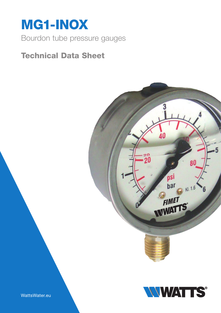

# Technical Data Sheet





WattsWater.eu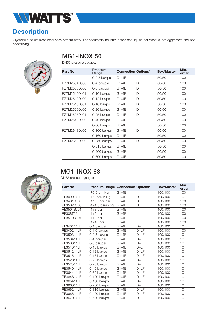

### **Description**

Glycerine filled stainless steel case bottom entry. For pneumatic industry, gases and liquids not viscous, not aggressive and not crystallising.



## MG1-INOX 50

DN50 pressure gauges.

| Part No      | <b>Pressure</b><br>Range | <b>Connection Options*</b> |   | <b>Box/Master</b> | Min.<br>order |
|--------------|--------------------------|----------------------------|---|-------------------|---------------|
|              | 0-2.5 bar/psi            | G1/4B                      |   | 50/50             | 100           |
| PZ7M2504DJ00 | 0-4 bar/psi              | G1/4B                      | D | 50/50             | 100           |
| PZ7M2506DJ00 | 0-6 bar/psi              | G1/4B                      | D | 50/50             | 100           |
| PZ7M2510DJ01 | 0-10 bar/psi             | G1/4B                      | D | 50/50             | 100           |
| PZ7M2512DJ00 | 0-12 bar/psi             | G1/4B                      | D | 50/50             | 100           |
| PZ7M2516DJ01 | 0-16 bar/psi             | G1/4B                      | D | 50/50             | 100           |
| PZ7M2520DJ00 | 0-20 bar/psi             | G1/4B                      | D | 50/50             | 100           |
| PZ7M2525DJ01 | 0-25 bar/psi             | G1/4B                      | D | 50/50             | 100           |
| PZ7M2540DJ00 | 0-40 bar/psi             | G1/4B                      |   | 50/50             | 100           |
|              | 0-60 bar/psi             | G1/4B                      |   | 50/50             | 100           |
| PZ7M2648DJ00 | $0-100$ bar/psi          | G1/4B                      | D | 50/50             | 100           |
|              | $0-160$ bar/psi          | G1/4B                      |   | 50/50             | 100           |
| PZ7M2660DJ00 | $0-250$ bar/psi          | G1/4B                      | D | 50/50             | 100           |
|              | $0-315$ bar/psi          | G1/4B                      |   | 50/50             | 100           |
|              | 0-400 bar/psi            | G1/4B                      |   | 50/50             | 100           |
|              | 0-600 bar/psi            | G1/4B                      |   | 50/50             | 100           |



#### MG1-INOX 63

DN63 pressure gauges.

| Part No    | <b>Pressure Range Connection Options*</b> |       |        | <b>Box/Master</b> | Min.<br>order |
|------------|-------------------------------------------|-------|--------|-------------------|---------------|
|            | -76-0 cm Hg                               | G1/4B |        | 100/100           | 100           |
| PE309914LF | $-1/0$ bar/in Hg                          | G1/4B | $D+LF$ | 100/100           | 10            |
| PE3401DJ00 | $-1/0.6$ bar/psi                          | G1/4B | D      | 100/100           | 100           |
| PE3502DJ00 | $-1+1.5$ bar/in hg                        | G1/4B | D      | 100/100           | 100           |
| PE3504BJ01 | $-1+3$ bar                                | G1/4B |        | 100/100           | 100           |
| PE308722   | $-1+5$ bar                                | G1/4B |        | 100/100           | 100           |
| PE3510DJ04 | $-1+9$ bar                                | G1/4B |        | 100/100           | 100           |
|            | $-1+15$ bar                               | G1/4B |        | 100/100           | 100           |
| PE340114LF | 0-1 bar/psi                               | G1/4B | $D+LF$ | 100/100           | 10            |
| PE340214LF | 0-1.6 bar/psi                             | G1/4B | $D+LF$ | 100/100           | 100           |
| PE350314LF | 0-2.5 bar/psi                             | G1/4B | $D+LF$ | 100/100           | 10            |
| PE350414LF | 0-4 bar/psi                               | G1/4B | $D+LF$ | 100/100           | 10            |
| PE350614LF | 0-6 bar/psi                               | G1/4B | $D+LF$ | 100/100           | 10            |
| PE351014LF | 0-10 bar/psi                              | G1/4B | $D+LF$ | 100/100           | 10            |
| PE351214LF | 0-12 bar/psi                              | G1/4B | $D+LF$ | 100/100           | 10            |
| PE351614LF | 0-16 bar/psi                              | G1/4B | $D+LF$ | 100/100           | 10            |
| PE352014LF | 0-20 bar/psi                              | G1/4B | $D+LF$ | 100/100           | 10            |
| PE352514LF | 0-25 bar/psi                              | G1/4B | $D+LF$ | 100/100           | 10            |
| PE354014LF | 0-40 bar/psi                              | G1/4B | $D+LF$ | 100/100           | 10            |
| PE364414LF | 0-60 bar/psi                              | G1/4B | $D+LF$ | 100/100           | 10            |
| PE364814LF | 0-100 bar/psi                             | G1/4B | $D+LF$ | 100/100           | 10            |
| PE365414LF | 0-160 bar/psi                             | G1/4B | $D+LF$ | 100/100           | 10            |
| PE366014LF | 0-250 bar/psi                             | G1/4B | $D+LF$ | 100/100           | 10            |
| PE366214LF | 0-315 bar/psi                             | G1/4B | $D+LF$ | 100/100           | 10            |
| PE366614LF | 0-400 bar/psi                             | G1/4B | $D+LF$ | 100/100           | 10            |
| PE367014LF | 0-600 bar/psi                             | G1/4B | $D+LF$ | 100/100           | 10            |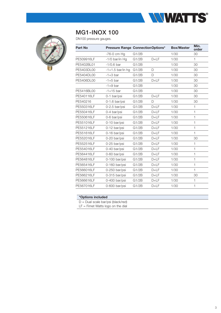

| DN100 pressure gauges. |                                          |       |        |                   |               |
|------------------------|------------------------------------------|-------|--------|-------------------|---------------|
| <b>Part No</b>         | <b>Pressure Range ConnectionOptions*</b> |       |        | <b>Box/Master</b> | Min.<br>order |
|                        | $-76-0$ cm Hg                            | G1/2B |        | 1/30              | 30            |
| PE509916LF             | $-1/0$ bar/in Hg                         | G1/2B | $D+LF$ | 1/30              | $\mathbf{1}$  |
| PE5402BL01             | $-1/0.6$ bar                             | G1/2B |        | 1/30              | 30            |
| PE5403DL00             | $-1+1.5$ bar/in hg                       | G1/2B | D      | 1/30              | 30            |
| PE5404DL00             | $-1+3$ bar                               | G1/2B | D      | 1/30              | 30            |
| PE5406DL00             | $-1+5$ bar                               | G1/2B | $D+LF$ | 1/30              | 30            |
|                        | $-1+9$ bar                               | G1/2B |        | 1/30              | 30            |
| PE5416BL00             | $-1+15$ bar                              | G1/2B |        | 1/30              | 30            |
| PE540116LF             | 0-1 bar/psi                              | G1/2B | $D+LF$ | 1/30              | 30            |
| PE540216               | 0-1.6 bar/psi                            | G1/2B | D      | 1/30              | 30            |
| PE550316LF             | $0-2.5$ bar/psi                          | G1/2B | $D+LF$ | 1/30              | $\mathbf{1}$  |
| PE550416LF             | 0-4 bar/psi                              | G1/2B | $D+LF$ | 1/30              | 1             |
| PE550616LF             | 0-6 bar/psi                              | G1/2B | $D+LF$ | 1/30              | 1             |
| PE551016LF             | 0-10 bar/psi                             | G1/2B | $D+LF$ | 1/30              | 1             |
| PE551216LF             | 0-12 bar/psi                             | G1/2B | $D+LF$ | 1/30              | $\mathbf{1}$  |
| PE551616LF             | 0-16 bar/psi                             | G1/2B | $D+LF$ | 1/30              | 1             |
| PE552016LF             | 0-20 bar/psi                             | G1/2B | $D+LF$ | 1/30              | 30            |
| PE552516LF             | 0-25 bar/psi                             | G1/2B | $D+LF$ | 1/30              | $\mathbf{1}$  |
| PE554016LF             | 0-40 bar/psi                             | G1/2B | $D+LF$ | 1/30              | 1             |
| PE564416LF             | 0-60 bar/psi                             | G1/2B | $D+LF$ | 1/30              | 1             |
| PE564816LF             | 0-100 bar/psi                            | G1/2B | $D+LF$ | 1/30              | 1             |
| PE565416LF             | 0-160 bar/psi                            | G1/2B | $D+LF$ | 1/30              | 1             |
| PE566016LF             | 0-250 bar/psi                            | G1/2B | $D+LF$ | 1/30              | 1             |
| PE566216LF             | 0-315 bar/psi                            | G1/2B | $D+LF$ | 1/30              | 30            |
| PE566616LF             | 0-400 bar/psi                            | G1/2B | $D+LF$ | 1/30              | $\mathbf{1}$  |
| PE567016LF             | 0-600 bar/psi                            | G1/2B | $D+LF$ | 1/30              | 1             |

#### \*Options included

MG1-INOX 100

D = Dual scale bar/psi (black/red)

LF = Fimet Watts logo on the dial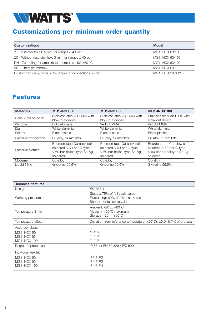

#### Customizations per minimum order quantity

| <b>Model</b>       |
|--------------------|
| MG1-INOX 63/100    |
| MG1-INOX 63/100    |
| MG1-INOX 63/100    |
| MG1-INOX 63        |
| MG1-INOX 50/63/100 |
|                    |

#### Features

| <b>Materials</b>       | <b>MG1-INOX 50</b>                                                                                       | MG1-INOX 63                                                                                              | <b>MG1-INOX 100</b>                                                                                      |  |
|------------------------|----------------------------------------------------------------------------------------------------------|----------------------------------------------------------------------------------------------------------|----------------------------------------------------------------------------------------------------------|--|
| $Case + roll on bezel$ | Stainless steel AISI 304 with                                                                            | Stainless steel AISI 304 with                                                                            | Stainless steel AISI 304 with                                                                            |  |
|                        | blow-out device                                                                                          | blow-out device                                                                                          | blow-out device                                                                                          |  |
| Window                 | Policarbonate                                                                                            | Vedril PMMA                                                                                              | Vedril PMMA                                                                                              |  |
| Dial                   | White aluminium                                                                                          | White aluminium                                                                                          | White aluminium                                                                                          |  |
| Pointer                | <b>Black plastic</b>                                                                                     | <b>Black plastic</b>                                                                                     | <b>Black plastic</b>                                                                                     |  |
| Pressure connection    | Cu-alloy, 14 mm flats                                                                                    | Cu-alloy, 14 mm flats                                                                                    | Cu-alloy, 21 mm flats                                                                                    |  |
| Pressure element       | Bourdon tube Cu-alloy, soft<br>soldered $\leq 60$ bar C-type,<br>> 60 bar helical type Sn-Ag<br>soldered | Bourdon tube Cu-alloy, soft<br>soldered $\leq 60$ bar C-type,<br>> 60 bar helical type Sn-Ag<br>soldered | Bourdon tube Cu-alloy, soft<br>soldered $\leq 60$ bar C-type,<br>> 60 bar helical type Sn-Ag<br>soldered |  |
| Movement               | Cu-alloy                                                                                                 | Cu-alloy                                                                                                 | Cu-alloy                                                                                                 |  |
| Liquid filling         | Glycerine 99.5%                                                                                          | Glycerine 99.5%                                                                                          | Glycerine 99.5%                                                                                          |  |

| <b>Technical features</b>                                               |                                                                                                         |
|-------------------------------------------------------------------------|---------------------------------------------------------------------------------------------------------|
| Design                                                                  | EN 837-1                                                                                                |
| Working pressure                                                        | Steady: 75% of full scale value<br>Fluctuating: 60% of full scale value<br>Short time: full scale value |
| Temperature limits                                                      | Ambient: -20  +60°C<br>Medium: $+60^{\circ}$ C maximum<br>Storage: -20  +60°C                           |
| Temperature effect                                                      | Deviation from reference temperature $(+20^{\circ}C)$ : $\pm 0.04\%/1K$ of the span                     |
| Accuracy class:                                                         |                                                                                                         |
| MG1-INOX 50                                                             | cl. 2.5                                                                                                 |
| MG1-INOX 63                                                             | cl. 1.6                                                                                                 |
| MG1-INOX 100                                                            | cl. 1.6                                                                                                 |
| Degree of protection                                                    | IP 65 for EN 60 529 / IEC 529                                                                           |
| Individual weight:<br>MG1-INOX 50<br>MG1-INOX 63<br><b>MG1-INOX 100</b> | 0.130 kg<br>$0.206$ kg<br>$0.526$ kg                                                                    |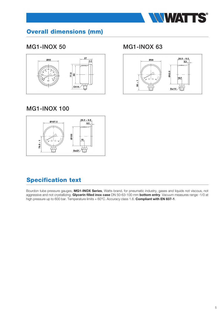

## Overall dimensions (mm)

#### MG1-INOX 50 MG1-INOX 63



#### MG1-INOX 100



#### Specification text

Bourdon tube pressure gauges, MG1-INOX Series, Watts brand, for pneumatic industry, gases and liquids not viscous, not aggressive and not crystallizing. Glycerin filled inox case DN 50-63-100 mm bottom entry. Vacuum measures range -1/0 at high pressure up to 600 bar. Temperature limits  $+60^{\circ}$ C. Accuracy class 1.6. **Compliant with EN 837-1**.